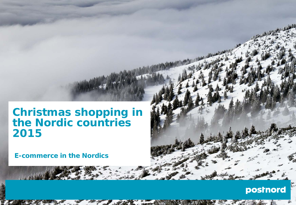## **Christmas shopping in the Nordic countries 2015**

**E-commerce in the Nordics**

## postnord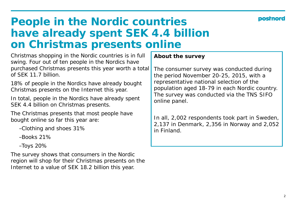### posmo

## **People in the Nordic countries have already spent SEK 4.4 billion on Christmas presents online**

Christmas shopping in the Nordic countries is in full swing. Four out of ten people in the Nordics have purchased Christmas presents this year worth a total of SEK 11.7 billion.

18% of people in the Nordics have already bought Christmas presents on the Internet this year.

In total, people in the Nordics have already spent SEK 4.4 billion on Christmas presents.

The Christmas presents that most people have bought online so far this year are:

- −Clothing and shoes 31%
- −Books 21%
- −Toys 20%

The survey shows that consumers in the Nordic region will shop for their Christmas presents on the Internet to a value of SEK 18.2 billion this year.

**About the survey**

The consumer survey was conducted during the period November 20-25, 2015, with a representative national selection of the population aged 18-79 in each Nordic country. The survey was conducted via the TNS SIFO online panel.

In all, 2,002 respondents took part in Sweden, 2,137 in Denmark, 2,356 in Norway and 2,052 in Finland.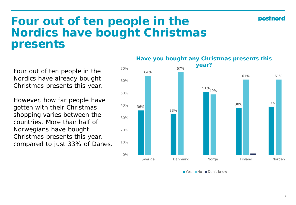#### posinord

## **Four out of ten people in the Nordics have bought Christmas presents**

Four out of ten people in the Nordics have already bought Christmas presents this year.

However, how far people have gotten with their Christmas shopping varies between the countries. More than half of Norwegians have bought Christmas presents this year, compared to just 33% of Danes.

#### **Have you bought any Christmas presents this year?**



Yes No Don't know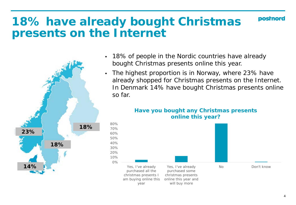# **18% have already bought Christmas presents on the Internet**



- 18% of people in the Nordic countries have already bought Christmas presents online this year.
- The highest proportion is in Norway, where 23% have already shopped for Christmas presents on the Internet. In Denmark 14% have bought Christmas presents online so far.



#### **Have you bought any Christmas presents online this year?**

**postnord**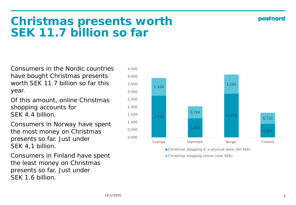posmor

# **Christmas presents worth SEK 11.7 billion so far**

Consumers in the Nordic countries have bought Christmas presents worth SEK 11.7 billion so far this year.

Of this amount, online Christmas shopping accounts for SFK 4.4 billion

Consumers in Norway have spent the most money on Christmas presents so far. Just under SEK 4,1 billion.

Consumers in Finland have spent the least money on Christmas presents so far. Just under SEK 1.6 billion.



Christmas shopping in a physical store (bn SEK)

Christmas shopping online (mdr SEK)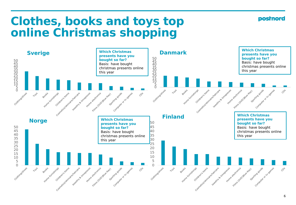**postnord** 

# **Clothes, books and toys top online Christmas shopping**